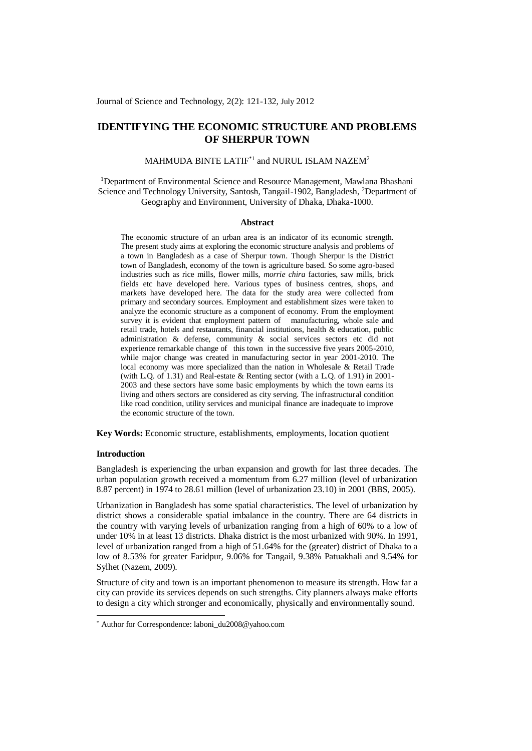Journal of Science and Technology, 2(2): 121-132, July 2012

# **IDENTIFYING THE ECONOMIC STRUCTURE AND PROBLEMS OF SHERPUR TOWN**

### MAHMUDA BINTE LATIF $^{\ast1}$  and NURUL ISLAM NAZEM $^2$

<sup>1</sup>Department of Environmental Science and Resource Management, Mawlana Bhashani Science and Technology University, Santosh, Tangail-1902, Bangladesh, <sup>2</sup>Department of Geography and Environment, University of Dhaka, Dhaka-1000.

#### **Abstract**

The economic structure of an urban area is an indicator of its economic strength. The present study aims at exploring the economic structure analysis and problems of a town in Bangladesh as a case of Sherpur town. Though Sherpur is the District town of Bangladesh, economy of the town is agriculture based. So some agro-based industries such as rice mills, flower mills, *morrie chira* factories, saw mills, brick fields etc have developed here. Various types of business centres, shops, and markets have developed here. The data for the study area were collected from primary and secondary sources. Employment and establishment sizes were taken to analyze the economic structure as a component of economy. From the employment survey it is evident that employment pattern of manufacturing, whole sale and retail trade, hotels and restaurants, financial institutions, health & education, public administration & defense, community & social services sectors etc did not experience remarkable change of this town in the successive five years 2005-2010. while major change was created in manufacturing sector in year 2001-2010. The local economy was more specialized than the nation in Wholesale & Retail Trade (with L.Q. of 1.31) and Real-estate & Renting sector (with a L.Q. of 1.91) in 2001- 2003 and these sectors have some basic employments by which the town earns its living and others sectors are considered as city serving. The infrastructural condition like road condition, utility services and municipal finance are inadequate to improve the economic structure of the town.

**Key Words:** Economic structure, establishments, employments, location quotient

### **Introduction**

-

Bangladesh is experiencing the urban expansion and growth for last three decades. The urban population growth received a momentum from 6.27 million (level of urbanization 8.87 percent) in 1974 to 28.61 million (level of urbanization 23.10) in 2001 (BBS, 2005).

Urbanization in Bangladesh has some spatial characteristics. The level of urbanization by district shows a considerable spatial imbalance in the country. There are 64 districts in the country with varying levels of urbanization ranging from a high of 60% to a low of under 10% in at least 13 districts. Dhaka district is the most urbanized with 90%. In 1991, level of urbanization ranged from a high of 51.64% for the (greater) district of Dhaka to a low of 8.53% for greater Faridpur, 9.06% for Tangail, 9.38% Patuakhali and 9.54% for Sylhet (Nazem, 2009).

Structure of city and town is an important phenomenon to measure its strength. How far a city can provide its services depends on such strengths. City planners always make efforts to design a city which stronger and economically, physically and environmentally sound.

<sup>\*</sup> Author for Correspondence: laboni\_du2008@yahoo.com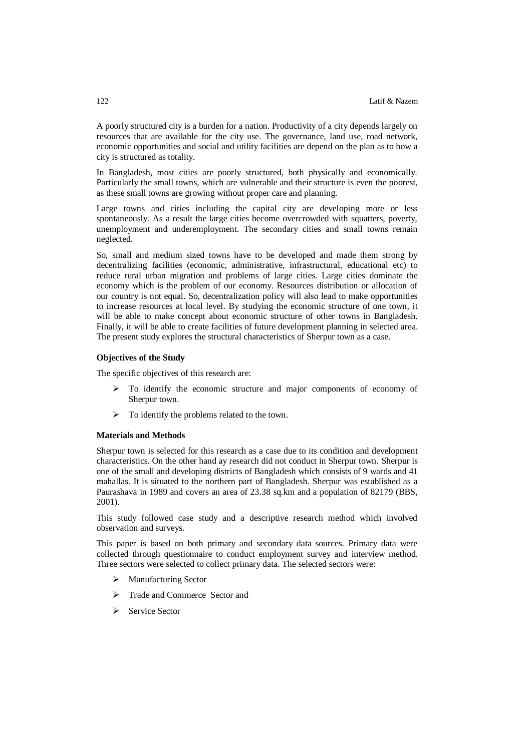A poorly structured city is a burden for a nation. Productivity of a city depends largely on resources that are available for the city use. The governance, land use, road network, economic opportunities and social and utility facilities are depend on the plan as to how a city is structured as totality.

In Bangladesh, most cities are poorly structured, both physically and economically. Particularly the small towns, which are vulnerable and their structure is even the poorest, as these small towns are growing without proper care and planning.

Large towns and cities including the capital city are developing more or less spontaneously. As a result the large cities become overcrowded with squatters, poverty, unemployment and underemployment. The secondary cities and small towns remain neglected.

So, small and medium sized towns have to be developed and made them strong by decentralizing facilities (economic, administrative, infrastructural, educational etc) to reduce rural urban migration and problems of large cities. Large cities dominate the economy which is the problem of our economy. Resources distribution or allocation of our country is not equal. So, decentralization policy will also lead to make opportunities to increase resources at local level. By studying the economic structure of one town, it will be able to make concept about economic structure of other towns in Bangladesh. Finally, it will be able to create facilities of future development planning in selected area. The present study explores the structural characteristics of Sherpur town as a case.

#### **Objectives of the Study**

The specific objectives of this research are:

- To identify the economic structure and major components of economy of Sherpur town.
- $\triangleright$  To identify the problems related to the town.

### **Materials and Methods**

Sherpur town is selected for this research as a case due to its condition and development characteristics. On the other hand ay research did not conduct in Sherpur town. Sherpur is one of the small and developing districts of Bangladesh which consists of 9 wards and 41 mahallas. It is situated to the northern part of Bangladesh. Sherpur was established as a Paurashava in 1989 and covers an area of 23.38 sq.km and a population of 82179 (BBS, 2001).

This study followed case study and a descriptive research method which involved observation and surveys.

This paper is based on both primary and secondary data sources. Primary data were collected through questionnaire to conduct employment survey and interview method. Three sectors were selected to collect primary data. The selected sectors were:

- > Manufacturing Sector
- > Trade and Commerce Sector and
- Service Sector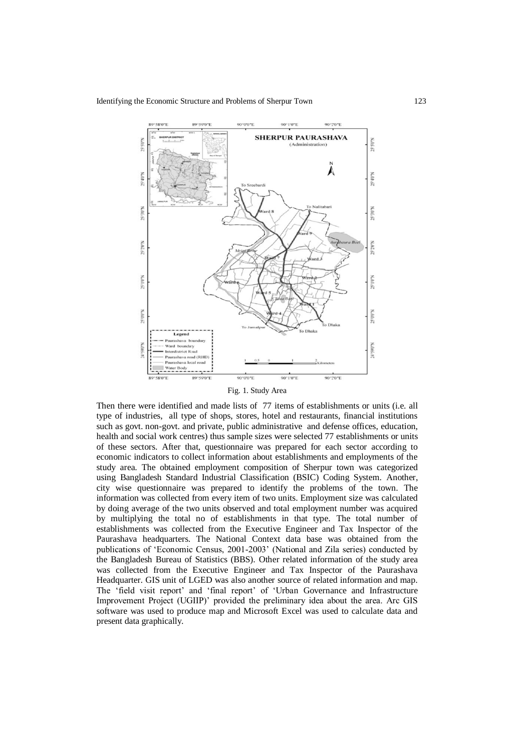

Fig. 1. Study Area

Then there were identified and made lists of 77 items of establishments or units (i.e. all type of industries, all type of shops, stores, hotel and restaurants, financial institutions such as govt. non-govt. and private, public administrative and defense offices, education, health and social work centres) thus sample sizes were selected 77 establishments or units of these sectors. After that, questionnaire was prepared for each sector according to economic indicators to collect information about establishments and employments of the study area. The obtained employment composition of Sherpur town was categorized using Bangladesh Standard Industrial Classification (BSIC) Coding System. Another, city wise questionnaire was prepared to identify the problems of the town. The information was collected from every item of two units. Employment size was calculated by doing average of the two units observed and total employment number was acquired by multiplying the total no of establishments in that type. The total number of establishments was collected from the Executive Engineer and Tax Inspector of the Paurashava headquarters. The National Context data base was obtained from the publications of 'Economic Census, 2001-2003' (National and Zila series) conducted by the Bangladesh Bureau of Statistics (BBS). Other related information of the study area was collected from the Executive Engineer and Tax Inspector of the Paurashava Headquarter. GIS unit of LGED was also another source of related information and map. The 'field visit report' and 'final report' of 'Urban Governance and Infrastructure Improvement Project (UGIIP)' provided the preliminary idea about the area. Arc GIS software was used to produce map and Microsoft Excel was used to calculate data and present data graphically.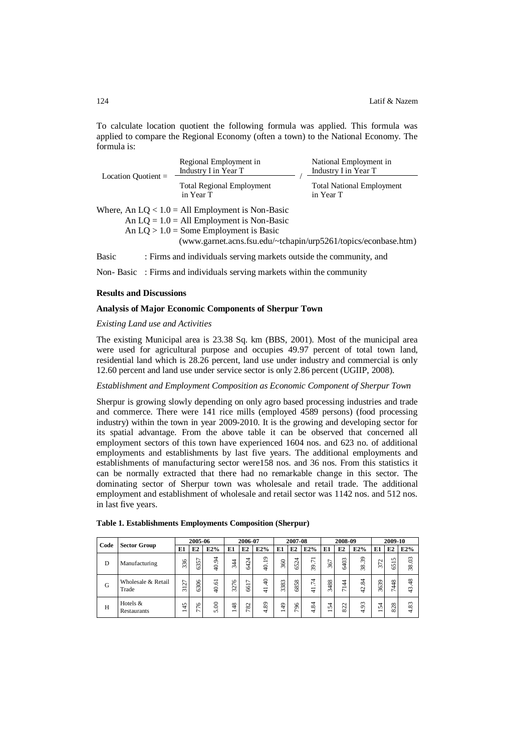To calculate location quotient the following formula was applied. This formula was applied to compare the Regional Economy (often a town) to the National Economy. The formula is:

|              |                       | Regional Employment in<br>Industry I in Year T                     | National Employment in<br>Industry I in Year T |  |  |  |  |
|--------------|-----------------------|--------------------------------------------------------------------|------------------------------------------------|--|--|--|--|
|              | Location Ouotient $=$ | <b>Total Regional Employment</b><br>in Year T                      | <b>Total National Employment</b><br>in Year T  |  |  |  |  |
|              |                       | Where, An $LQ < 1.0$ = All Employment is Non-Basic                 |                                                |  |  |  |  |
|              |                       | An $LQ = 1.0 = All Employment$ is Non-Basic                        |                                                |  |  |  |  |
|              |                       | An $LQ > 1.0$ = Some Employment is Basic                           |                                                |  |  |  |  |
|              |                       | (www.garnet.acns.fsu.edu/~tchapin/urp5261/topics/econbase.htm)     |                                                |  |  |  |  |
| <b>Basic</b> |                       | : Firms and individuals serving markets outside the community, and |                                                |  |  |  |  |

Non- Basic : Firms and individuals serving markets within the community

## **Results and Discussions**

### **Analysis of Major Economic Components of Sherpur Town**

*Existing Land use and Activities*

The existing Municipal area is 23.38 Sq. km (BBS, 2001). Most of the municipal area were used for agricultural purpose and occupies 49.97 percent of total town land, residential land which is 28.26 percent, land use under industry and commercial is only 12.60 percent and land use under service sector is only 2.86 percent (UGIIP, 2008).

# *Establishment and Employment Composition as Economic Component of Sherpur Town*

Sherpur is growing slowly depending on only agro based processing industries and trade and commerce. There were 141 rice mills (employed 4589 persons) (food processing industry) within the town in year 2009-2010. It is the growing and developing sector for its spatial advantage. From the above table it can be observed that concerned all employment sectors of this town have experienced 1604 nos. and 623 no. of additional employments and establishments by last five years. The additional employments and establishments of manufacturing sector were158 nos. and 36 nos. From this statistics it can be normally extracted that there had no remarkable change in this sector. The dominating sector of Sherpur town was wholesale and retail trade. The additional employment and establishment of wholesale and retail sector was 1142 nos. and 512 nos. in last five years.

| Code | <b>Sector Group</b>         | 2005-06               |                   | 2006-07             |          | 2007-08                                    |                                           | 2008-09            |                                       |                                 | 2009-10                        |                                                 |                      |                      |                          |                                |
|------|-----------------------------|-----------------------|-------------------|---------------------|----------|--------------------------------------------|-------------------------------------------|--------------------|---------------------------------------|---------------------------------|--------------------------------|-------------------------------------------------|----------------------|----------------------|--------------------------|--------------------------------|
|      |                             | E1                    | E2                | E2%                 | E1       | E2                                         | E2%                                       | E1                 | E2                                    | E2%                             | E1                             | E2                                              | E2%                  | E1                   | E2                       | E2%                            |
| D    | Manufacturing               | 36<br>$\sim$          | 57<br>$\sim$<br>Ö | 24<br>$\Rightarrow$ | 344      | $\overline{ }$<br>$\mathcal{L}$<br>4<br>١Ò | $\overline{9}$<br>$\cdot$<br>$\mathsf{Q}$ | $\infty$<br>$\sim$ | $\overline{z}$<br>$\overline{v}$<br>Ö | $\overline{7}$<br>$\cdot$<br>39 | 367                            | 403<br>١Ò                                       | 39<br>38             | $\sim$<br>∼<br>m     | 5<br>−<br>n<br>١n        | $\mathfrak{S}$<br>38           |
| G    | Wholesale & Retail<br>Trade | ↽<br>Ń<br>-<br>$\sim$ | 8<br>ශි           | 5<br>$\ddot{q}$     | 76<br>32 | ∼<br>−<br>8                                | ₽<br>∓                                    | 83<br>33           | 58<br>$8^{\circ}$                     | 74<br>₹                         | 3488                           | 4<br>$\overline{\phantom{0}}$<br>$\overline{ }$ | 34<br>$^{42}$        | 3639                 | $\frac{8}{3}$<br>4       | $\frac{8}{3}$<br>$\frac{3}{4}$ |
| H    | Hotels $&$<br>Restaurants   | m<br>4<br>-           | $\circ$<br>∼      | $\infty$<br>n       | 48<br>-  | $\sim$<br>∞                                | 89<br>ਚ                                   | $\frac{9}{4}$      | 96<br>$\sim$                          | 84<br>₹                         | 54<br>$\overline{\phantom{0}}$ | $\mathbf{\sim}$<br>$\sim$<br>öö                 | 93<br>$\overline{ }$ | $\overline{ }$<br>۱ń | $\infty$<br>$\sim$<br>öö | $\sim$<br>$\infty$<br>₹        |

|  |  | Table 1. Establishments Employments Composition (Sherpur) |  |  |  |
|--|--|-----------------------------------------------------------|--|--|--|
|--|--|-----------------------------------------------------------|--|--|--|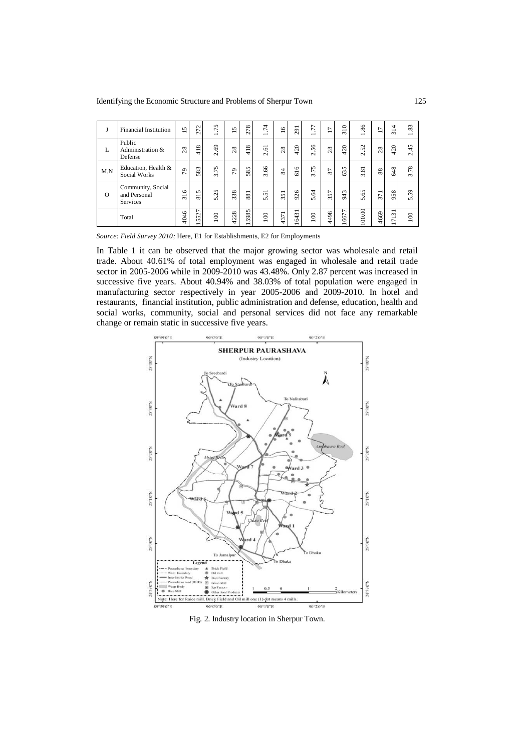Identifying the Economic Structure and Problems of Sherpur Town 125

| J        | <b>Financial Institution</b>                  | S<br>$\overline{\phantom{0}}$ | 272                                       | .75<br>$\overline{\phantom{0}}$ | $\sqrt{2}$<br>$\overline{\phantom{0}}$ | 278                              | 74<br>$\overline{\phantom{0}}$ | $\frac{6}{1}$ | 291       | 77<br>$\overline{\phantom{0}}$ | $\overline{1}$ | 310     | 1.86   | $\overline{ }$<br>$\overline{\phantom{0}}$ | 4<br>-<br>$\sim$                 | 83<br>$\overline{\phantom{0}}$ |
|----------|-----------------------------------------------|-------------------------------|-------------------------------------------|---------------------------------|----------------------------------------|----------------------------------|--------------------------------|---------------|-----------|--------------------------------|----------------|---------|--------|--------------------------------------------|----------------------------------|--------------------------------|
| L        | Public<br>Administration &<br>Defense         | 28                            | $\overline{18}$<br>₩                      | 69<br>$\sim$                    | 28                                     | $\frac{8}{2}$<br>$\pm$           | 2.61                           | $^{28}$       | 420       | 2.56                           | $^{28}$        | 420     | 2.52   | $^{28}$                                    | 420                              | 2.45                           |
| M,N      | Education, Health &<br>Social Works           | 29                            | 83<br>$\sim$                              | 3.75                            | P <sub>3</sub>                         | 85<br>S                          | 3.66                           | $\approx$     | 616       | 3.75                           | 2              | 35<br>Ö | 3.81   | 88                                         | 48<br>۱Ò                         | .78<br>$\sim$                  |
| $\Omega$ | Community, Social<br>and Personal<br>Services | $\tilde{=}$<br>$\sim$         | 5<br>$\overline{\phantom{0}}$<br>$\infty$ | 25<br>'n                        | 338                                    | 881                              | $\overline{5}$<br>'n           | 351           | 926       | 5.64                           | 357            | 943     | 5.65   | $\overline{7}$<br>$\sim$                   | 58                               | 59<br>ທີ                       |
|          | Total                                         | 4046                          | 5527<br>$\overline{\phantom{0}}$          | 100                             | 4228                                   | 5985<br>$\overline{\phantom{0}}$ | $\infty$<br>∸                  | 4371          | 6431<br>∸ | 100                            | 4498           | 6677    | 100.00 | 4669                                       | 7131<br>$\overline{\phantom{0}}$ | 100                            |

*Source: Field Survey 2010;* Here, E1 for Establishments, E2 for Employments

In Table 1 it can be observed that the major growing sector was wholesale and retail trade. About 40.61% of total employment was engaged in wholesale and retail trade sector in 2005-2006 while in 2009-2010 was 43.48%. Only 2.87 percent was increased in successive five years. About 40.94% and 38.03% of total population were engaged in manufacturing sector respectively in year 2005-2006 and 2009-2010. In hotel and restaurants, financial institution, public administration and defense, education, health and social works, community, social and personal services did not face any remarkable change or remain static in successive five years.



Fig. 2. Industry location in Sherpur Town.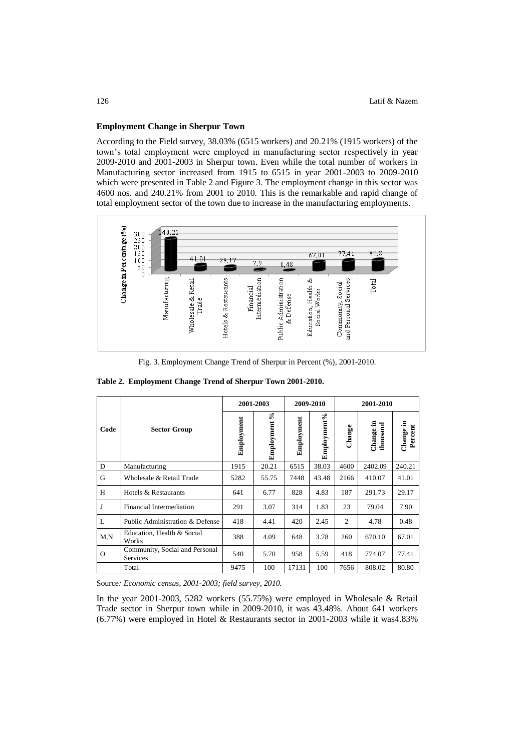### **Employment Change in Sherpur Town**

According to the Field survey, 38.03% (6515 workers) and 20.21% (1915 workers) of the town's total employment were employed in manufacturing sector respectively in year 2009-2010 and 2001-2003 in Sherpur town. Even while the total number of workers in Manufacturing sector increased from 1915 to 6515 in year 2001-2003 to 2009-2010 which were presented in Table 2 and Figure 3. The employment change in this sector was 4600 nos. and 240.21% from 2001 to 2010. This is the remarkable and rapid change of total employment sector of the town due to increase in the manufacturing employments.



Fig. 3. Employment Change Trend of Sherpur in Percent (%), 2001-2010.

|          |                                            |            | 2001-2003       |            | 2009-2010   | 2001-2010 |                       |                      |  |
|----------|--------------------------------------------|------------|-----------------|------------|-------------|-----------|-----------------------|----------------------|--|
| Code     | <b>Sector Group</b>                        | Employment | న<br>Employment | Employment | Employment% | Change    | Change in<br>thousand | Change in<br>Percent |  |
| D        | Manufacturing                              | 1915       | 20.21           | 6515       | 38.03       | 4600      | 2402.09               | 240.21               |  |
| G        | Wholesale & Retail Trade                   | 5282       | 55.75           | 7448       | 43.48       | 2166      | 410.07                | 41.01                |  |
| H        | Hotels & Restaurants                       | 641        | 6.77            | 828        | 4.83        | 187       | 291.73                | 29.17                |  |
| J        | Financial Intermediation                   | 291        | 3.07            | 314        | 1.83        | 23        | 79.04                 | 7.90                 |  |
| L        | Public Administration & Defense            | 418        | 4.41            | 420        | 2.45        | 2         | 4.78                  | 0.48                 |  |
| M.N      | Education, Health & Social<br>Works        | 388        | 4.09            | 648        | 3.78        | 260       | 670.10                | 67.01                |  |
| $\Omega$ | Community, Social and Personal<br>Services | 540        | 5.70            | 958        | 5.59        | 418       | 774.07                | 77.41                |  |
|          | Total                                      | 9475       | 100             | 17131      | 100         | 7656      | 808.02                | 80.80                |  |

**Table 2. Employment Change Trend of Sherpur Town 2001-2010.**

Source*: Economic census, 2001-2003; field survey, 2010.*

In the year 2001-2003, 5282 workers (55.75%) were employed in Wholesale & Retail Trade sector in Sherpur town while in 2009-2010, it was 43.48%. About 641 workers (6.77%) were employed in Hotel & Restaurants sector in 2001-2003 while it was4.83%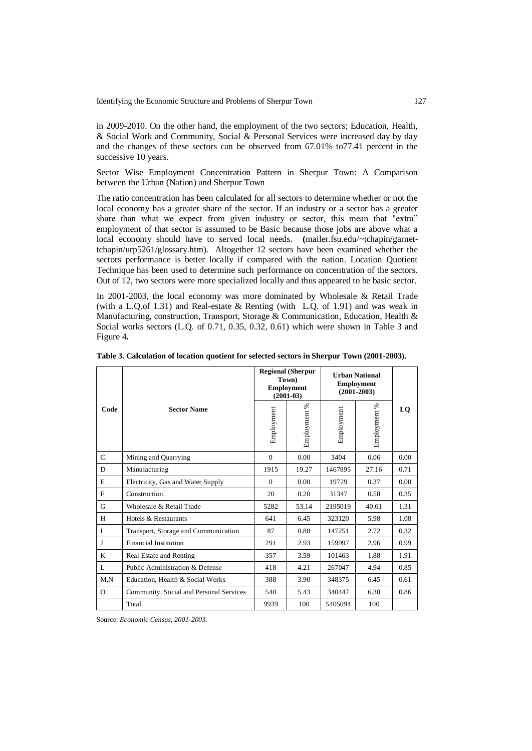in 2009-2010. On the other hand, the employment of the two sectors; Education, Health, & Social Work and Community, Social & Personal Services were increased day by day and the changes of these sectors can be observed from 67.01% to77.41 percent in the successive 10 years.

Sector Wise Employment Concentration Pattern in Sherpur Town: A Comparison between the Urban (Nation) and Sherpur Town

The ratio concentration has been calculated for all sectors to determine whether or not the local economy has a greater share of the sector. If an industry or a sector has a greater share than what we expect from given industry or sector, this mean that "extra" employment of that sector is assumed to be Basic because those jobs are above what a local economy should have to served local needs. **(**mailer.fsu.edu/~tchapin/garnettchapin/urp5261/glossary.htm). Altogether 12 sectors have been examined whether the sectors performance is better locally if compared with the nation. Location Quotient Technique has been used to determine such performance on concentration of the sectors. Out of 12, two sectors were more specialized locally and thus appeared to be basic sector.

In 2001-2003, the local economy was more dominated by Wholesale & Retail Trade (with a L.Q.of 1.31) and Real-estate & Renting (with L.Q. of 1.91) and was weak in Manufacturing, construction, Transport, Storage & Communication, Education, Health & Social works sectors (L.Q. of 0.71, 0.35, 0.32, 0.61) which were shown in Table 3 and Figure 4**.** 

|              |                                         |            | <b>Regional (Sherpur</b><br>Town)<br><b>Employment</b><br>$(2001-03)$ | <b>Urban National</b><br><b>Employment</b><br>$(2001 - 2003)$ |                  |      |
|--------------|-----------------------------------------|------------|-----------------------------------------------------------------------|---------------------------------------------------------------|------------------|------|
| Code         | <b>Sector Name</b>                      | Employment | Employment %                                                          | Employment                                                    | S,<br>Employment | LQ   |
| $\mathsf{C}$ | Mining and Quarrying                    | $\Omega$   | 0.00                                                                  | 3404                                                          | 0.06             | 0.00 |
| D            | Manufacturing                           | 1915       | 19.27                                                                 | 1467895                                                       | 27.16            | 0.71 |
| E            | Electricity, Gas and Water Supply       | $\Omega$   | 0.00                                                                  | 19729                                                         | 0.37             | 0.00 |
| F            | Construction.                           | 20         | 0.20                                                                  | 31347                                                         | 0.58             | 0.35 |
| G            | Wholesale & Retail Trade                | 5282       | 53.14                                                                 | 2195019                                                       | 40.61            | 1.31 |
| H            | Hotels & Restaurants                    | 641        | 6.45                                                                  | 323120                                                        | 5.98             | 1.08 |
| $\mathbf{I}$ | Transport, Storage and Communication    | 87         | 0.88                                                                  | 147251                                                        | 2.72             | 0.32 |
| J            | Financial Institution                   | 291        | 2.93                                                                  | 159997                                                        | 2.96             | 0.99 |
| K            | Real Estate and Renting                 | 357        | 3.59                                                                  | 101463                                                        | 1.88             | 1.91 |
| L            | Public Administration & Defense         | 418        | 4.21                                                                  | 267047                                                        | 4.94             | 0.85 |
| M.N          | Education, Health & Social Works        | 388        | 3.90                                                                  | 348375                                                        | 6.45             | 0.61 |
| $\Omega$     | Community, Social and Personal Services | 540        | 5.43                                                                  | 340447                                                        | 6.30             | 0.86 |
|              | Total                                   | 9939       | 100                                                                   | 5405094                                                       | 100              |      |

**Table 3. Calculation of location quotient for selected sectors in Sherpur Town (2001-2003).**

Source: *Economic Census, 2001-2003.*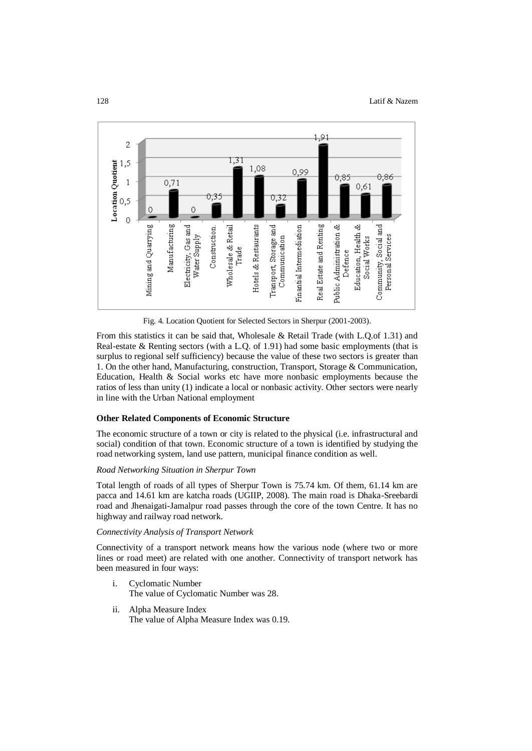

Fig. 4. Location Quotient for Selected Sectors in Sherpur (2001-2003).

From this statistics it can be said that, Wholesale & Retail Trade (with L.Q.of 1.31) and Real-estate & Renting sectors (with a L.Q. of 1.91) had some basic employments (that is surplus to regional self sufficiency) because the value of these two sectors is greater than 1. On the other hand, Manufacturing, construction, Transport, Storage & Communication, Education, Health & Social works etc have more nonbasic employments because the ratios of less than unity (1) indicate a local or nonbasic activity. Other sectors were nearly in line with the Urban National employment

## **Other Related Components of Economic Structure**

The economic structure of a town or city is related to the physical (i.e. infrastructural and social) condition of that town. Economic structure of a town is identified by studying the road networking system, land use pattern, municipal finance condition as well.

### *Road Networking Situation in Sherpur Town*

Total length of roads of all types of Sherpur Town is 75.74 km. Of them, 61.14 km are pacca and 14.61 km are katcha roads (UGIIP, 2008). The main road is Dhaka-Sreebardi road and Jhenaigati-Jamalpur road passes through the core of the town Centre. It has no highway and railway road network.

## *Connectivity Analysis of Transport Network*

Connectivity of a transport network means how the various node (where two or more lines or road meet) are related with one another. Connectivity of transport network has been measured in four ways:

- i. Cyclomatic Number The value of Cyclomatic Number was 28.
- ii. Alpha Measure Index The value of Alpha Measure Index was 0.19.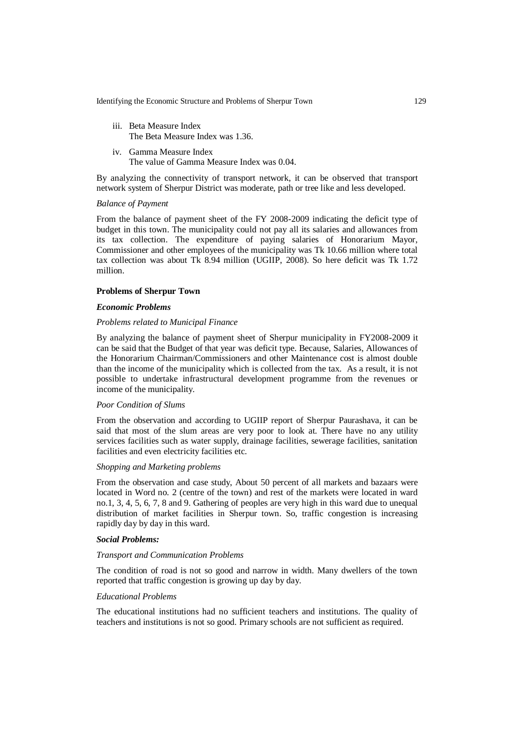Identifying the Economic Structure and Problems of Sherpur Town 129

- iii. Beta Measure Index The Beta Measure Index was 1.36.
- iv. Gamma Measure Index The value of Gamma Measure Index was 0.04.

By analyzing the connectivity of transport network, it can be observed that transport network system of Sherpur District was moderate, path or tree like and less developed.

# *Balance of Payment*

From the balance of payment sheet of the FY 2008-2009 indicating the deficit type of budget in this town. The municipality could not pay all its salaries and allowances from its tax collection. The expenditure of paying salaries of Honorarium Mayor, Commissioner and other employees of the municipality was Tk 10.66 million where total tax collection was about Tk 8.94 million (UGIIP, 2008). So here deficit was Tk 1.72 million.

## **Problems of Sherpur Town**

### *Economic Problems*

#### *Problems related to Municipal Finance*

By analyzing the balance of payment sheet of Sherpur municipality in FY2008-2009 it can be said that the Budget of that year was deficit type. Because, Salaries, Allowances of the Honorarium Chairman/Commissioners and other Maintenance cost is almost double than the income of the municipality which is collected from the tax. As a result, it is not possible to undertake infrastructural development programme from the revenues or income of the municipality.

#### *Poor Condition of Slums*

From the observation and according to UGIIP report of Sherpur Paurashava, it can be said that most of the slum areas are very poor to look at. There have no any utility services facilities such as water supply, drainage facilities, sewerage facilities, sanitation facilities and even electricity facilities etc.

### *Shopping and Marketing problems*

From the observation and case study, About 50 percent of all markets and bazaars were located in Word no. 2 (centre of the town) and rest of the markets were located in ward no.1, 3, 4, 5, 6, 7, 8 and 9. Gathering of peoples are very high in this ward due to unequal distribution of market facilities in Sherpur town. So, traffic congestion is increasing rapidly day by day in this ward.

#### *Social Problems:*

#### *Transport and Communication Problems*

The condition of road is not so good and narrow in width. Many dwellers of the town reported that traffic congestion is growing up day by day.

### *Educational Problems*

The educational institutions had no sufficient teachers and institutions. The quality of teachers and institutions is not so good. Primary schools are not sufficient as required.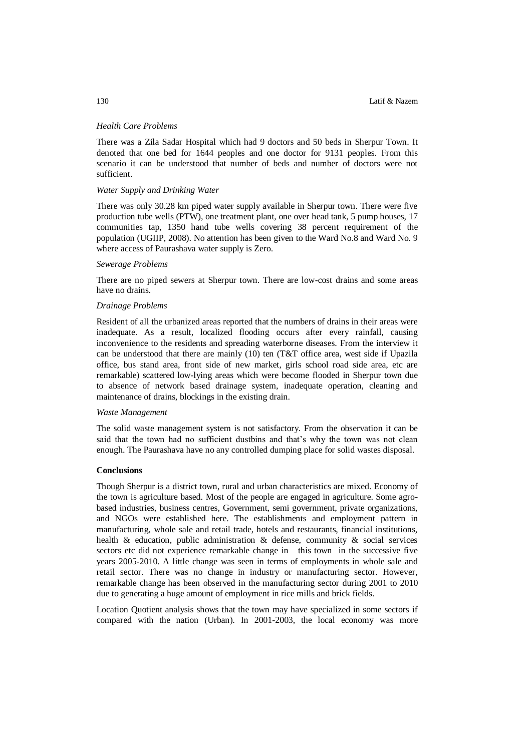### *Health Care Problems*

There was a Zila Sadar Hospital which had 9 doctors and 50 beds in Sherpur Town. It denoted that one bed for 1644 peoples and one doctor for 9131 peoples. From this scenario it can be understood that number of beds and number of doctors were not sufficient.

### *Water Supply and Drinking Water*

There was only 30.28 km piped water supply available in Sherpur town. There were five production tube wells (PTW), one treatment plant, one over head tank, 5 pump houses, 17 communities tap, 1350 hand tube wells covering 38 percent requirement of the population (UGIIP, 2008). No attention has been given to the Ward No.8 and Ward No. 9 where access of Paurashava water supply is Zero.

#### *Sewerage Problems*

There are no piped sewers at Sherpur town. There are low-cost drains and some areas have no drains.

#### *Drainage Problems*

Resident of all the urbanized areas reported that the numbers of drains in their areas were inadequate. As a result, localized flooding occurs after every rainfall, causing inconvenience to the residents and spreading waterborne diseases. From the interview it can be understood that there are mainly  $(10)$  ten  $(T&T$  office area, west side if Upazila office, bus stand area, front side of new market, girls school road side area, etc are remarkable) scattered low-lying areas which were become flooded in Sherpur town due to absence of network based drainage system, inadequate operation, cleaning and maintenance of drains, blockings in the existing drain.

#### *Waste Management*

The solid waste management system is not satisfactory. From the observation it can be said that the town had no sufficient dustbins and that's why the town was not clean enough. The Paurashava have no any controlled dumping place for solid wastes disposal.

### **Conclusions**

Though Sherpur is a district town, rural and urban characteristics are mixed. Economy of the town is agriculture based. Most of the people are engaged in agriculture. Some agrobased industries, business centres, Government, semi government, private organizations, and NGOs were established here. The establishments and employment pattern in manufacturing, whole sale and retail trade, hotels and restaurants, financial institutions, health & education, public administration & defense, community & social services sectors etc did not experience remarkable change in this town in the successive five years 2005-2010. A little change was seen in terms of employments in whole sale and retail sector. There was no change in industry or manufacturing sector. However, remarkable change has been observed in the manufacturing sector during 2001 to 2010 due to generating a huge amount of employment in rice mills and brick fields.

Location Quotient analysis shows that the town may have specialized in some sectors if compared with the nation (Urban). In 2001-2003, the local economy was more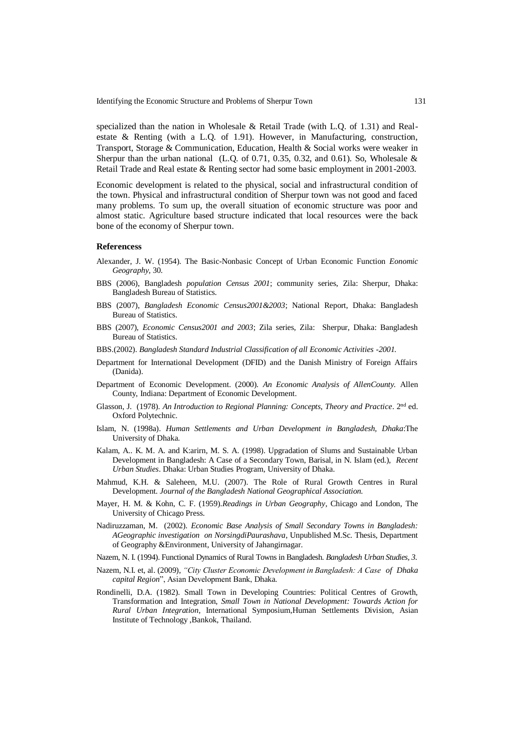Identifying the Economic Structure and Problems of Sherpur Town 131

specialized than the nation in Wholesale & Retail Trade (with L.Q. of 1.31) and Realestate & Renting (with a L.Q. of 1.91). However, in Manufacturing, construction, Transport, Storage & Communication, Education, Health & Social works were weaker in Sherpur than the urban national (L.Q. of 0.71, 0.35, 0.32, and 0.61). So, Wholesale  $\&$ Retail Trade and Real estate & Renting sector had some basic employment in 2001-2003.

Economic development is related to the physical, social and infrastructural condition of the town. Physical and infrastructural condition of Sherpur town was not good and faced many problems. To sum up, the overall situation of economic structure was poor and almost static. Agriculture based structure indicated that local resources were the back bone of the economy of Sherpur town.

#### **Referencess**

- Alexander, J. W. (1954). The Basic-Nonbasic Concept of Urban Economic Function *Eonomic Geography,* 30.
- BBS (2006), Bangladesh *population Census 2001*; community series, Zila: Sherpur, Dhaka: Bangladesh Bureau of Statistics.
- BBS (2007), *Bangladesh Economic Census2001&2003*; National Report, Dhaka: Bangladesh Bureau of Statistics.
- BBS (2007), *Economic Census2001 and 2003*; Zila series, Zila: Sherpur, Dhaka: Bangladesh Bureau of Statistics.
- BBS.(2002). *Bangladesh Standard Industrial Classification of all Economic Activities -2001.*
- Department for International Development (DFID) and the Danish Ministry of Foreign Affairs (Danida).
- Department of Economic Development. (2000). *An Economic Analysis of AllenCounty.* Allen County, Indiana: Department of Economic Development.
- Glasson, J. (1978). An Introduction to Regional Planning: Concepts, Theory and Practice. 2<sup>nd</sup> ed. Oxford Polytechnic.
- Islam, N. (1998a). *Human Settlements and Urban Development in Bangladesh, Dhaka*:The University of Dhaka.
- Kalam, A.. K. M. A. and K:arirn, M. S. A. (1998). Upgradation of Slums and Sustainable Urban Development in Bangladesh: A Case of a Secondary Town, Barisal, in N. Islam (ed.), *Recent Urban Studies*. Dhaka: Urban Studies Program, University of Dhaka.
- Mahmud, K.H. & Saleheen, M.U. (2007). The Role of Rural Growth Centres in Rural Development. *Journal of the Bangladesh National Geographical Association.*
- Mayer, H. M. & Kohn, C. F. (1959).*Readings in Urban Geography*, Chicago and London, The University of Chicago Press.
- Nadiruzzaman, M. (2002). *Economic Base Analysis of Small Secondary Towns in Bangladesh: AGeographic investigation on NorsingdiPaurashava*, Unpublished M.Sc. Thesis, Department of Geography &Environment, University of Jahangirnagar.
- Nazem, N. I. (1994). Functional Dynamics of Rural Towns in Bangladesh. *Bangladesh Urban Studies, 3*.
- Nazem, N.I. et, al. (2009), *"City Cluster Economic Development in Bangladesh: A Case of Dhaka capital Region*", Asian Development Bank, Dhaka.
- Rondinelli, D.A. (1982). Small Town in Developing Countries: Political Centres of Growth, Transformation and Integration, *Small Town in National Development: Towards Action for Rural Urban Integration*, International Symposium,Human Settlements Division, Asian Institute of Technology ,Bankok, Thailand.